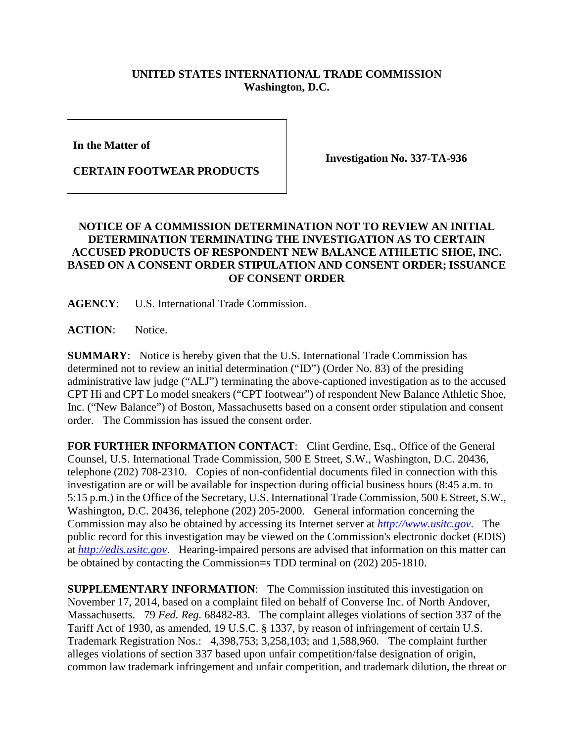## **UNITED STATES INTERNATIONAL TRADE COMMISSION Washington, D.C.**

**In the Matter of** 

**CERTAIN FOOTWEAR PRODUCTS**

**Investigation No. 337-TA-936**

## **NOTICE OF A COMMISSION DETERMINATION NOT TO REVIEW AN INITIAL DETERMINATION TERMINATING THE INVESTIGATION AS TO CERTAIN ACCUSED PRODUCTS OF RESPONDENT NEW BALANCE ATHLETIC SHOE, INC. BASED ON A CONSENT ORDER STIPULATION AND CONSENT ORDER; ISSUANCE OF CONSENT ORDER**

**AGENCY**: U.S. International Trade Commission.

ACTION: Notice.

**SUMMARY**: Notice is hereby given that the U.S. International Trade Commission has determined not to review an initial determination ("ID") (Order No. 83) of the presiding administrative law judge ("ALJ") terminating the above-captioned investigation as to the accused CPT Hi and CPT Lo model sneakers ("CPT footwear") of respondent New Balance Athletic Shoe, Inc. ("New Balance") of Boston, Massachusetts based on a consent order stipulation and consent order. The Commission has issued the consent order.

FOR FURTHER INFORMATION CONTACT: Clint Gerdine, Esq., Office of the General Counsel, U.S. International Trade Commission, 500 E Street, S.W., Washington, D.C. 20436, telephone (202) 708-2310. Copies of non-confidential documents filed in connection with this investigation are or will be available for inspection during official business hours (8:45 a.m. to 5:15 p.m.) in the Office of the Secretary, U.S. International Trade Commission, 500 E Street, S.W., Washington, D.C. 20436, telephone (202) 205-2000. General information concerning the Commission may also be obtained by accessing its Internet server at *[http://www.usitc.gov](http://www.usitc.gov/)*. The public record for this investigation may be viewed on the Commission's electronic docket (EDIS) at *[http://edis.usitc.gov](http://edis.usitc.gov/)*. Hearing-impaired persons are advised that information on this matter can be obtained by contacting the Commission=s TDD terminal on (202) 205-1810.

**SUPPLEMENTARY INFORMATION**: The Commission instituted this investigation on November 17, 2014, based on a complaint filed on behalf of Converse Inc. of North Andover, Massachusetts. 79 *Fed. Reg.* 68482-83. The complaint alleges violations of section 337 of the Tariff Act of 1930, as amended, 19 U.S.C. § 1337, by reason of infringement of certain U.S. Trademark Registration Nos.: 4,398,753; 3,258,103; and 1,588,960. The complaint further alleges violations of section 337 based upon unfair competition/false designation of origin, common law trademark infringement and unfair competition, and trademark dilution, the threat or